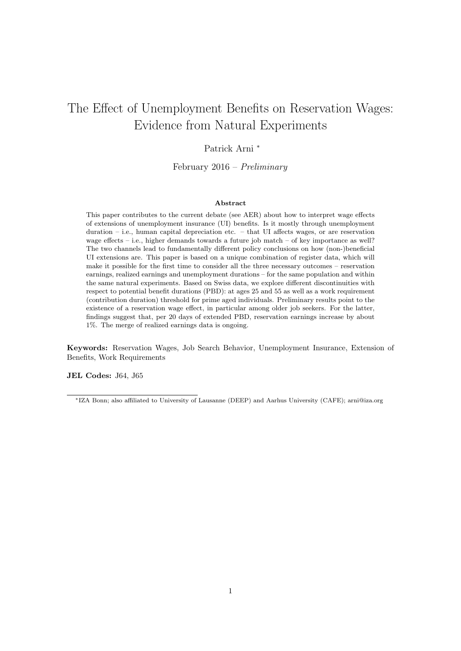# The Effect of Unemployment Benefits on Reservation Wages: Evidence from Natural Experiments

### Patrick Arni *<sup>∗</sup>*

February 2016 – *Preliminary*

#### **Abstract**

This paper contributes to the current debate (see AER) about how to interpret wage effects of extensions of unemployment insurance (UI) benefits. Is it mostly through unemployment duration – i.e., human capital depreciation etc. – that UI affects wages, or are reservation wage effects – i.e., higher demands towards a future job match – of key importance as well? The two channels lead to fundamentally different policy conclusions on how (non-)beneficial UI extensions are. This paper is based on a unique combination of register data, which will make it possible for the first time to consider all the three necessary outcomes – reservation earnings, realized earnings and unemployment durations – for the same population and within the same natural experiments. Based on Swiss data, we explore different discontinuities with respect to potential benefit durations (PBD): at ages 25 and 55 as well as a work requirement (contribution duration) threshold for prime aged individuals. Preliminary results point to the existence of a reservation wage effect, in particular among older job seekers. For the latter, findings suggest that, per 20 days of extended PBD, reservation earnings increase by about 1%. The merge of realized earnings data is ongoing.

**Keywords:** Reservation Wages, Job Search Behavior, Unemployment Insurance, Extension of Benefits, Work Requirements

**JEL Codes:** J64, J65

*<sup>∗</sup>*IZA Bonn; also affiliated to University of Lausanne (DEEP) and Aarhus University (CAFE); arni@iza.org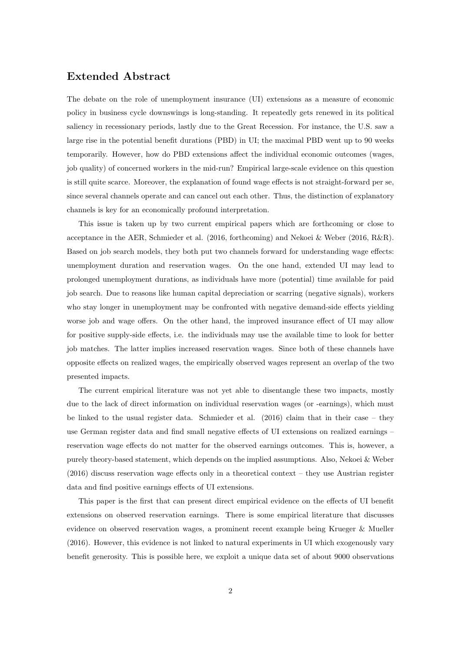### **Extended Abstract**

The debate on the role of unemployment insurance (UI) extensions as a measure of economic policy in business cycle downswings is long-standing. It repeatedly gets renewed in its political saliency in recessionary periods, lastly due to the Great Recession. For instance, the U.S. saw a large rise in the potential benefit durations (PBD) in UI; the maximal PBD went up to 90 weeks temporarily. However, how do PBD extensions affect the individual economic outcomes (wages, job quality) of concerned workers in the mid-run? Empirical large-scale evidence on this question is still quite scarce. Moreover, the explanation of found wage effects is not straight-forward per se, since several channels operate and can cancel out each other. Thus, the distinction of explanatory channels is key for an economically profound interpretation.

This issue is taken up by two current empirical papers which are forthcoming or close to acceptance in the AER, Schmieder et al. (2016, forthcoming) and Nekoei & Weber (2016, R&R). Based on job search models, they both put two channels forward for understanding wage effects: unemployment duration and reservation wages. On the one hand, extended UI may lead to prolonged unemployment durations, as individuals have more (potential) time available for paid job search. Due to reasons like human capital depreciation or scarring (negative signals), workers who stay longer in unemployment may be confronted with negative demand-side effects yielding worse job and wage offers. On the other hand, the improved insurance effect of UI may allow for positive supply-side effects, i.e. the individuals may use the available time to look for better job matches. The latter implies increased reservation wages. Since both of these channels have opposite effects on realized wages, the empirically observed wages represent an overlap of the two presented impacts.

The current empirical literature was not yet able to disentangle these two impacts, mostly due to the lack of direct information on individual reservation wages (or -earnings), which must be linked to the usual register data. Schmieder et al. (2016) claim that in their case – they use German register data and find small negative effects of UI extensions on realized earnings – reservation wage effects do not matter for the observed earnings outcomes. This is, however, a purely theory-based statement, which depends on the implied assumptions. Also, Nekoei & Weber (2016) discuss reservation wage effects only in a theoretical context – they use Austrian register data and find positive earnings effects of UI extensions.

This paper is the first that can present direct empirical evidence on the effects of UI benefit extensions on observed reservation earnings. There is some empirical literature that discusses evidence on observed reservation wages, a prominent recent example being Krueger & Mueller (2016). However, this evidence is not linked to natural experiments in UI which exogenously vary benefit generosity. This is possible here, we exploit a unique data set of about 9000 observations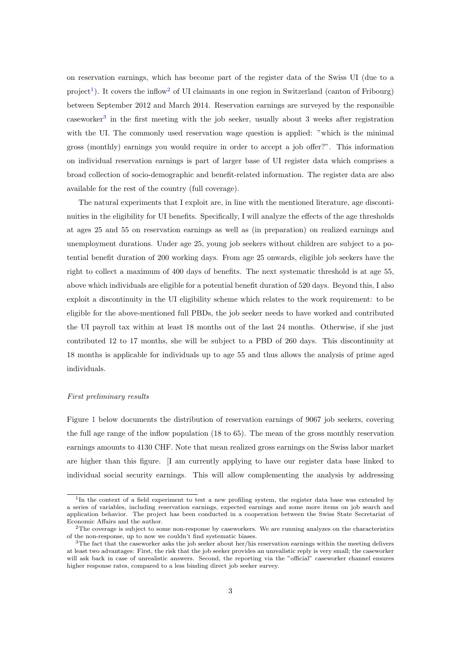on reservation earnings, which has become part of the register data of the Swiss UI (due to a project<sup>1</sup>). It covers the inflow<sup>2</sup> of UI claimants in one region in Switzerland (canton of Fribourg) between September 2012 and March 2014. Reservation earnings are surveyed by the responsible caseworker<sup>3</sup> in the first meeting with the job seeker, usually about 3 weeks after registration with the UI. The commonly used reservation wage question is applied: "which is the minimal gross (monthly) earnings you would require in order to accept a job offer?". This information on individual reservation earnings is part of larger base of UI register data which comprises a broad collection of socio-demographic and benefit-related information. The register data are also available for the rest of the country (full coverage).

The natural experiments that I exploit are, in line with the mentioned literature, age discontinuities in the eligibility for UI benefits. Specifically, I will analyze the effects of the age thresholds at ages 25 and 55 on reservation earnings as well as (in preparation) on realized earnings and unemployment durations. Under age 25, young job seekers without children are subject to a potential benefit duration of 200 working days. From age 25 onwards, eligible job seekers have the right to collect a maximum of 400 days of benefits. The next systematic threshold is at age 55, above which individuals are eligible for a potential benefit duration of 520 days. Beyond this, I also exploit a discontinuity in the UI eligibility scheme which relates to the work requirement: to be eligible for the above-mentioned full PBDs, the job seeker needs to have worked and contributed the UI payroll tax within at least 18 months out of the last 24 months. Otherwise, if she just contributed 12 to 17 months, she will be subject to a PBD of 260 days. This discontinuity at 18 months is applicable for individuals up to age 55 and thus allows the analysis of prime aged individuals.

#### *First preliminary results*

Figure 1 below documents the distribution of reservation earnings of 9067 job seekers, covering the full age range of the inflow population (18 to 65). The mean of the gross monthly reservation earnings amounts to 4130 CHF. Note that mean realized gross earnings on the Swiss labor market are higher than this figure. [I am currently applying to have our register data base linked to individual social security earnings. This will allow complementing the analysis by addressing

<sup>&</sup>lt;sup>1</sup>In the context of a field experiment to test a new profiling system, the register data base was extended by a series of variables, including reservation earnings, expected earnings and some more items on job search and application behavior. The project has been conducted in a cooperation between the Swiss State Secretariat of Economic Affairs and the author.

<sup>&</sup>lt;sup>2</sup>The coverage is subject to some non-response by caseworkers. We are running analyzes on the characteristics of the non-response, up to now we couldn't find systematic biases.

 $3$ The fact that the caseworker asks the job seeker about her/his reservation earnings within the meeting delivers at least two advantages: First, the risk that the job seeker provides an unrealistic reply is very small; the caseworker will ask back in case of unrealistic answers. Second, the reporting via the "official" caseworker channel ensures higher response rates, compared to a less binding direct job seeker survey.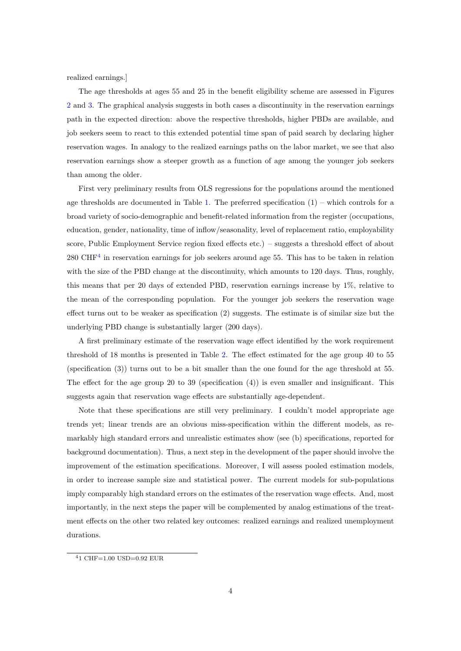realized earnings.]

The age thresholds at ages 55 and 25 in the benefit eligibility scheme are assessed in Figures 2 and 3. The graphical analysis suggests in both cases a discontinuity in the reservation earnings path in the expected direction: above the respective thresholds, higher PBDs are available, and job seekers seem to react to this extended potential time span of paid search by declaring higher reservation wages. In analogy to the realized earnings paths on the labor market, we see that also reservation earnings show a steeper growth as a function of age among the younger job seekers than among the older.

First very preliminary results from OLS regressions for the populations around the mentioned age thresholds are documented in Table 1. The preferred specification  $(1)$  – which controls for a broad variety of socio-demographic and benefit-related information from the register (occupations, education, gender, nationality, time of inflow/seasonality, level of replacement ratio, employability score, Public Employment Service region fixed effects etc.) – suggests a threshold effect of about 280 CHF<sup>4</sup> in reservation earnings for job seekers around age 55. This has to be taken in relation with the size of the PBD change at the discontinuity, which amounts to 120 days. Thus, roughly, this means that per 20 days of extended PBD, reservation earnings increase by 1%, relative to the mean of the corresponding population. For the younger job seekers the reservation wage effect turns out to be weaker as specification (2) suggests. The estimate is of similar size but the underlying PBD change is substantially larger (200 days).

A first preliminary estimate of the reservation wage effect identified by the work requirement threshold of 18 months is presented in Table 2. The effect estimated for the age group 40 to 55 (specification (3)) turns out to be a bit smaller than the one found for the age threshold at 55. The effect for the age group 20 to 39 (specification  $(4)$ ) is even smaller and insignificant. This suggests again that reservation wage effects are substantially age-dependent.

Note that these specifications are still very preliminary. I couldn't model appropriate age trends yet; linear trends are an obvious miss-specification within the different models, as remarkably high standard errors and unrealistic estimates show (see (b) specifications, reported for background documentation). Thus, a next step in the development of the paper should involve the improvement of the estimation specifications. Moreover, I will assess pooled estimation models, in order to increase sample size and statistical power. The current models for sub-populations imply comparably high standard errors on the estimates of the reservation wage effects. And, most importantly, in the next steps the paper will be complemented by analog estimations of the treatment effects on the other two related key outcomes: realized earnings and realized unemployment durations.

<sup>4</sup>1 CHF=1.00 USD=0.92 EUR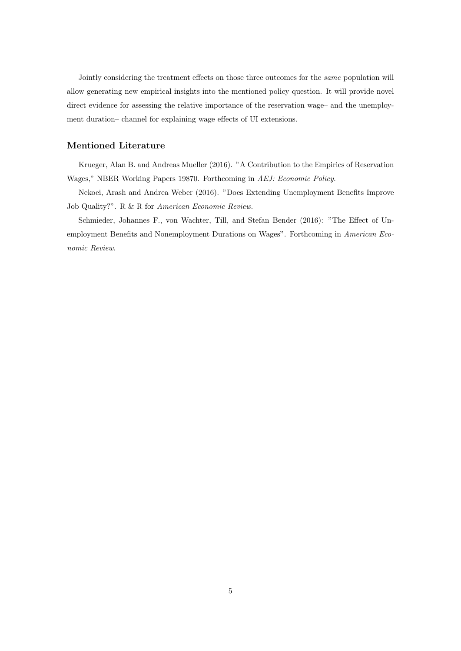Jointly considering the treatment effects on those three outcomes for the *same* population will allow generating new empirical insights into the mentioned policy question. It will provide novel direct evidence for assessing the relative importance of the reservation wage– and the unemployment duration– channel for explaining wage effects of UI extensions.

#### **Mentioned Literature**

Krueger, Alan B. and Andreas Mueller (2016). "A Contribution to the Empirics of Reservation Wages," NBER Working Papers 19870. Forthcoming in *AEJ: Economic Policy*.

Nekoei, Arash and Andrea Weber (2016). "Does Extending Unemployment Benefits Improve Job Quality?". R & R for *American Economic Review*.

Schmieder, Johannes F., von Wachter, Till, and Stefan Bender (2016): "The Effect of Unemployment Benefits and Nonemployment Durations on Wages". Forthcoming in *American Economic Review*.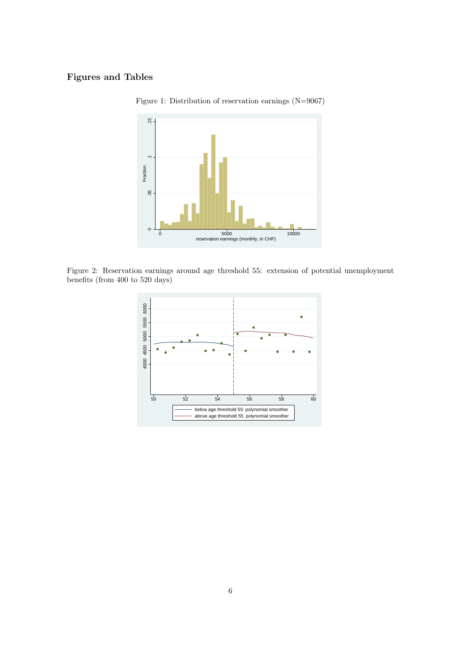## **Figures and Tables**



Figure 1: Distribution of reservation earnings (N=9067)

Figure 2: Reservation earnings around age threshold 55: extension of potential unemployment benefits (from 400 to 520 days)

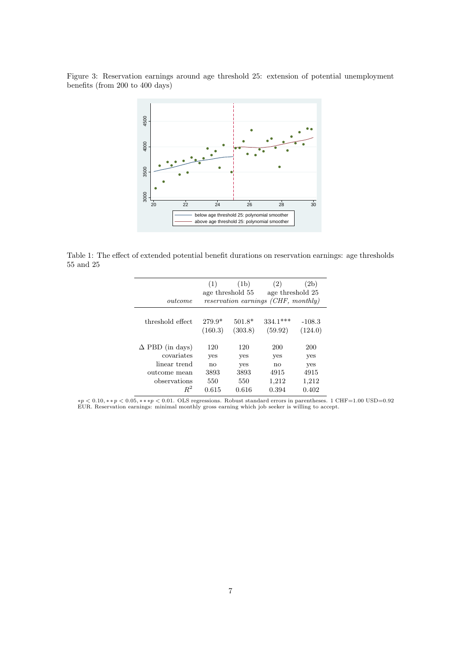Figure 3: Reservation earnings around age threshold 25: extension of potential unemployment benefits (from 200 to 400 days)



Table 1: The effect of extended potential benefit durations on reservation earnings: age thresholds 55 and 25

|                        | (1)                                 | (1b)                | (2)                   | (2b)                |  |
|------------------------|-------------------------------------|---------------------|-----------------------|---------------------|--|
|                        | age threshold 55                    |                     | age threshold 25      |                     |  |
| outcome                | reservation earnings (CHF, monthly) |                     |                       |                     |  |
| threshold effect       | $279.9*$<br>(160.3)                 | $501.8*$<br>(303.8) | $334.1***$<br>(59.92) | $-108.3$<br>(124.0) |  |
| $\Delta$ PBD (in days) | 120                                 | 120                 | <b>200</b>            | 200                 |  |
| covariates             | yes                                 | yes                 | yes                   | yes                 |  |
| linear trend           | no                                  | yes                 | no                    | yes                 |  |
| outcome mean           | 3893                                | 3893                | 4915                  | 4915                |  |
| observations           | 550                                 | 550                 | 1,212                 | 1,212               |  |
| $R^2$                  | 0.615                               | 0.616               | 0.394                 | 0.402               |  |

 $*p < 0.10, **p < 0.05, ***p < 0.01$ . OLS regressions. Robust standard errors in parentheses. 1 CHF=1.00 USD=0.92 EUR. Reservation earnings: minimal monthly gross earning which job seeker is willing to accept.